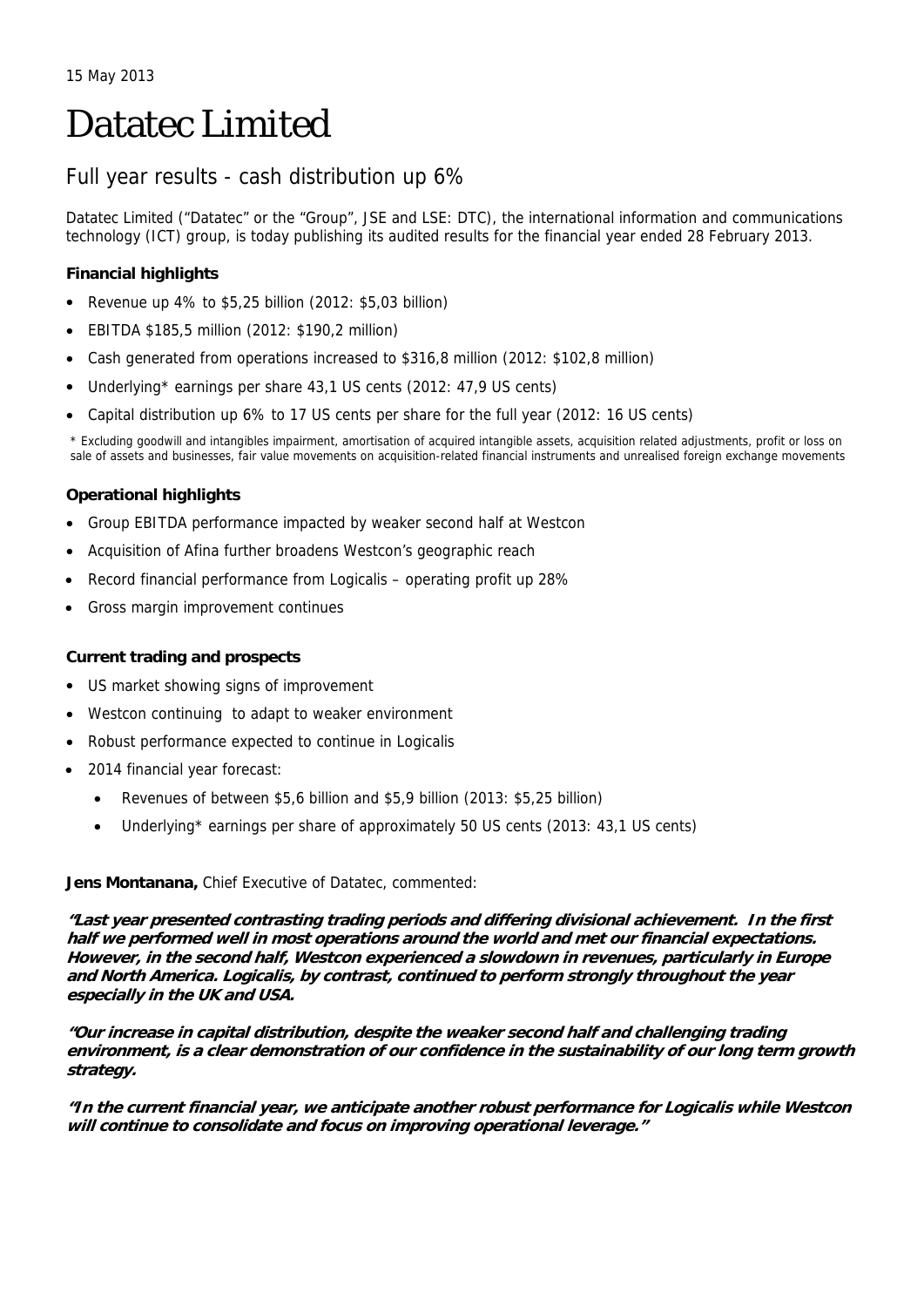# Datatec Limited

# Full year results - cash distribution up 6%

Datatec Limited ("Datatec" or the "Group", JSE and LSE: DTC), the international information and communications technology (ICT) group, is today publishing its audited results for the financial year ended 28 February 2013.

## **Financial highlights**

- Revenue up 4% to \$5,25 billion (2012: \$5,03 billion)
- EBITDA \$185,5 million (2012: \$190,2 million)
- Cash generated from operations increased to \$316,8 million (2012: \$102,8 million)
- Underlying\* earnings per share 43,1 US cents (2012: 47,9 US cents)
- Capital distribution up 6% to 17 US cents per share for the full year (2012: 16 US cents)

\* Excluding goodwill and intangibles impairment, amortisation of acquired intangible assets, acquisition related adjustments, profit or loss on sale of assets and businesses, fair value movements on acquisition-related financial instruments and unrealised foreign exchange movements

## **Operational highlights**

- Group EBITDA performance impacted by weaker second half at Westcon
- Acquisition of Afina further broadens Westcon's geographic reach
- Record financial performance from Logicalis operating profit up 28%
- Gross margin improvement continues

## **Current trading and prospects**

- US market showing signs of improvement
- Westcon continuing to adapt to weaker environment
- Robust performance expected to continue in Logicalis
- 2014 financial year forecast:
	- Revenues of between \$5,6 billion and \$5,9 billion (2013: \$5,25 billion)
	- Underlying\* earnings per share of approximately 50 US cents (2013: 43,1 US cents)

## **Jens Montanana,** Chief Executive of Datatec, commented:

**"Last year presented contrasting trading periods and differing divisional achievement. In the first half we performed well in most operations around the world and met our financial expectations. However, in the second half, Westcon experienced a slowdown in revenues, particularly in Europe and North America. Logicalis, by contrast, continued to perform strongly throughout the year especially in the UK and USA.** 

**"Our increase in capital distribution, despite the weaker second half and challenging trading environment, is a clear demonstration of our confidence in the sustainability of our long term growth strategy.** 

**"In the current financial year, we anticipate another robust performance for Logicalis while Westcon will continue to consolidate and focus on improving operational leverage."**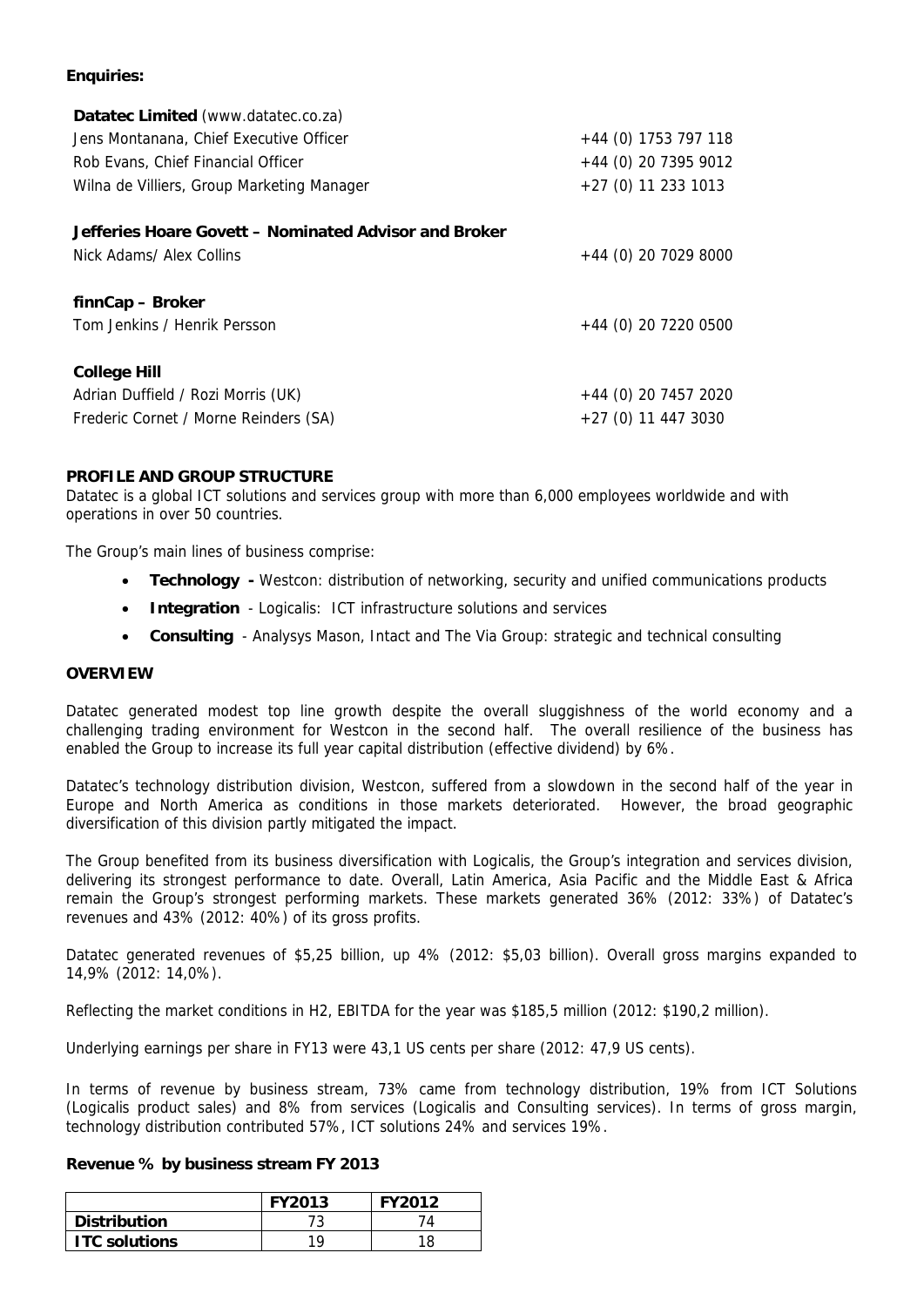## **Enquiries:**

| $+44$ (0) 1753 797 118 |
|------------------------|
| $+44$ (0) 20 7395 9012 |
| $+27$ (0) 11 233 1013  |
|                        |
|                        |
| $+44$ (0) 20 7029 8000 |
|                        |
|                        |
| +44 (0) 20 7220 0500   |
|                        |
|                        |
| $+44$ (0) 20 7457 2020 |
| $+27(0)$ 11 447 3030   |
|                        |

## **PROFILE AND GROUP STRUCTURE**

Datatec is a global ICT solutions and services group with more than 6,000 employees worldwide and with operations in over 50 countries.

The Group's main lines of business comprise:

- **Technology** Westcon: distribution of networking, security and unified communications products
- **Integration**  Logicalis: ICT infrastructure solutions and services
- **Consulting**  Analysys Mason, Intact and The Via Group: strategic and technical consulting

## **OVERVIEW**

Datatec generated modest top line growth despite the overall sluggishness of the world economy and a challenging trading environment for Westcon in the second half. The overall resilience of the business has enabled the Group to increase its full year capital distribution (effective dividend) by 6%.

Datatec's technology distribution division, Westcon, suffered from a slowdown in the second half of the year in Europe and North America as conditions in those markets deteriorated. However, the broad geographic diversification of this division partly mitigated the impact.

The Group benefited from its business diversification with Logicalis, the Group's integration and services division, delivering its strongest performance to date. Overall, Latin America, Asia Pacific and the Middle East & Africa remain the Group's strongest performing markets. These markets generated 36% (2012: 33%) of Datatec's revenues and 43% (2012: 40%) of its gross profits.

Datatec generated revenues of \$5,25 billion, up 4% (2012: \$5,03 billion). Overall gross margins expanded to 14,9% (2012: 14,0%).

Reflecting the market conditions in H2, EBITDA for the year was \$185,5 million (2012: \$190,2 million).

Underlying earnings per share in FY13 were 43,1 US cents per share (2012: 47,9 US cents).

In terms of revenue by business stream, 73% came from technology distribution, 19% from ICT Solutions (Logicalis product sales) and 8% from services (Logicalis and Consulting services). In terms of gross margin, technology distribution contributed 57%, ICT solutions 24% and services 19%.

#### **Revenue % by business stream FY 2013**

|                      | <b>FY2013</b> | <b>FY2012</b> |
|----------------------|---------------|---------------|
| <b>Distribution</b>  |               |               |
| <b>ITC solutions</b> | 1 Q           |               |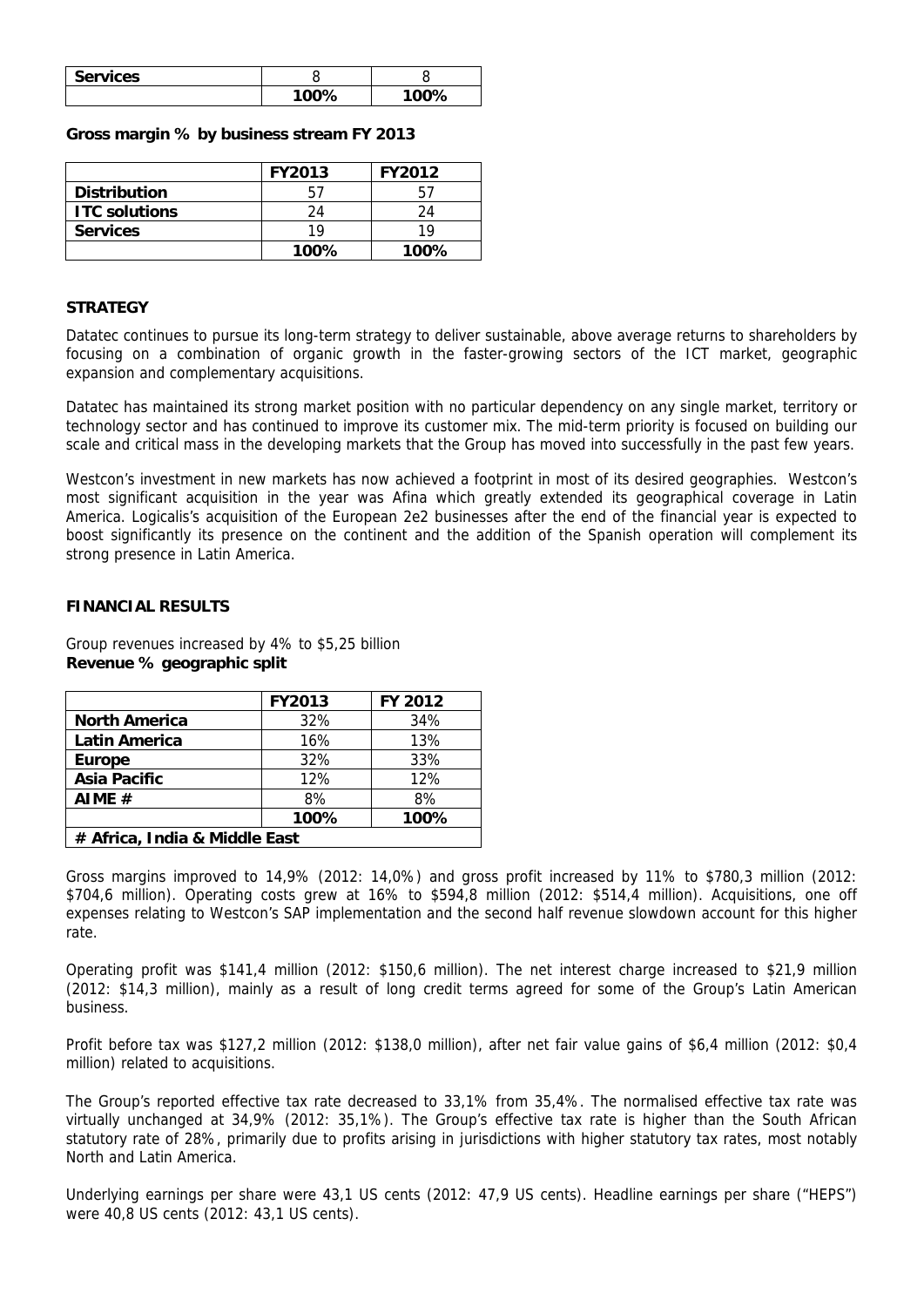| <b>Services</b> |       |              |
|-----------------|-------|--------------|
|                 | 1ሰበዓሪ | <u>ຳ∩∩໑∠</u> |

#### **Gross margin % by business stream FY 2013**

|                      | <b>FY2013</b> | <b>FY2012</b> |
|----------------------|---------------|---------------|
| <b>Distribution</b>  |               |               |
| <b>ITC solutions</b> | 24            | 24            |
| <b>Services</b>      | 19            | 10            |
|                      | 100%          | 100%          |

## **STRATEGY**

Datatec continues to pursue its long-term strategy to deliver sustainable, above average returns to shareholders by focusing on a combination of organic growth in the faster-growing sectors of the ICT market, geographic expansion and complementary acquisitions.

Datatec has maintained its strong market position with no particular dependency on any single market, territory or technology sector and has continued to improve its customer mix. The mid-term priority is focused on building our scale and critical mass in the developing markets that the Group has moved into successfully in the past few years.

Westcon's investment in new markets has now achieved a footprint in most of its desired geographies. Westcon's most significant acquisition in the year was Afina which greatly extended its geographical coverage in Latin America. Logicalis's acquisition of the European 2e2 businesses after the end of the financial year is expected to boost significantly its presence on the continent and the addition of the Spanish operation will complement its strong presence in Latin America.

## **FINANCIAL RESULTS**

Group revenues increased by 4% to \$5,25 billion **Revenue % geographic split** 

|                               | <b>FY2013</b> | FY 2012 |
|-------------------------------|---------------|---------|
| <b>North America</b>          | 32%           | 34%     |
| <b>Latin America</b>          | 16%           | 13%     |
| <b>Europe</b>                 | 32%           | 33%     |
| Asia Pacific                  | 12%           | 12%     |
| AIME $#$                      | 8%            | 8%      |
|                               | 100%          | 100%    |
| # Africa, India & Middle East |               |         |

Gross margins improved to 14,9% (2012: 14,0%) and gross profit increased by 11% to \$780,3 million (2012: \$704,6 million). Operating costs grew at 16% to \$594,8 million (2012: \$514,4 million). Acquisitions, one off expenses relating to Westcon's SAP implementation and the second half revenue slowdown account for this higher rate.

Operating profit was \$141,4 million (2012: \$150,6 million). The net interest charge increased to \$21,9 million (2012: \$14,3 million), mainly as a result of long credit terms agreed for some of the Group's Latin American business.

Profit before tax was \$127,2 million (2012: \$138,0 million), after net fair value gains of \$6,4 million (2012: \$0,4 million) related to acquisitions.

The Group's reported effective tax rate decreased to 33,1% from 35,4%. The normalised effective tax rate was virtually unchanged at 34,9% (2012: 35,1%). The Group's effective tax rate is higher than the South African statutory rate of 28%, primarily due to profits arising in jurisdictions with higher statutory tax rates, most notably North and Latin America.

Underlying earnings per share were 43,1 US cents (2012: 47,9 US cents). Headline earnings per share ("HEPS") were 40,8 US cents (2012: 43,1 US cents).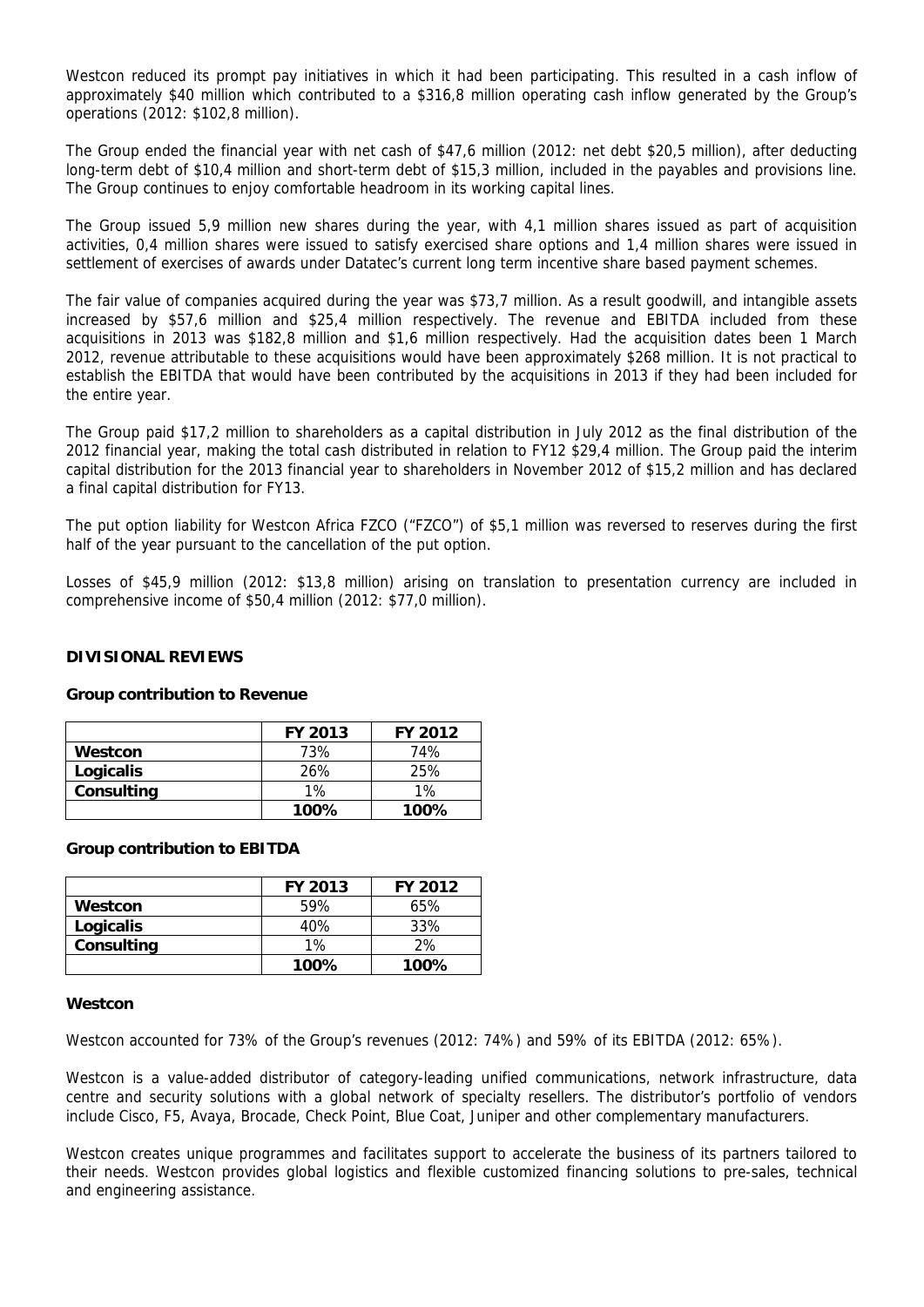Westcon reduced its prompt pay initiatives in which it had been participating. This resulted in a cash inflow of approximately \$40 million which contributed to a \$316,8 million operating cash inflow generated by the Group's operations (2012: \$102,8 million).

The Group ended the financial year with net cash of \$47,6 million (2012: net debt \$20,5 million), after deducting long-term debt of \$10,4 million and short-term debt of \$15,3 million, included in the payables and provisions line. The Group continues to enjoy comfortable headroom in its working capital lines.

The Group issued 5,9 million new shares during the year, with 4,1 million shares issued as part of acquisition activities, 0,4 million shares were issued to satisfy exercised share options and 1,4 million shares were issued in settlement of exercises of awards under Datatec's current long term incentive share based payment schemes.

The fair value of companies acquired during the year was \$73,7 million. As a result goodwill, and intangible assets increased by \$57,6 million and \$25,4 million respectively. The revenue and EBITDA included from these acquisitions in 2013 was \$182,8 million and \$1,6 million respectively. Had the acquisition dates been 1 March 2012, revenue attributable to these acquisitions would have been approximately \$268 million. It is not practical to establish the EBITDA that would have been contributed by the acquisitions in 2013 if they had been included for the entire year.

The Group paid \$17,2 million to shareholders as a capital distribution in July 2012 as the final distribution of the 2012 financial year, making the total cash distributed in relation to FY12 \$29,4 million. The Group paid the interim capital distribution for the 2013 financial year to shareholders in November 2012 of \$15,2 million and has declared a final capital distribution for FY13.

The put option liability for Westcon Africa FZCO ("FZCO") of \$5,1 million was reversed to reserves during the first half of the year pursuant to the cancellation of the put option.

Losses of \$45,9 million (2012: \$13,8 million) arising on translation to presentation currency are included in comprehensive income of \$50,4 million (2012: \$77,0 million).

## **DIVISIONAL REVIEWS**

#### **Group contribution to Revenue**

|            | <b>FY 2013</b> | <b>FY 2012</b> |
|------------|----------------|----------------|
| Westcon    | 73%            | 74%            |
| Logicalis  | 26%            | 25%            |
| Consulting | $1\%$          | $1\%$          |
|            | 100%           | $100\%$        |

#### **Group contribution to EBITDA**

|            | FY 2013 | FY 2012 |
|------------|---------|---------|
| Westcon    | 59%     | 65%     |
| Logicalis  | 40%     | 33%     |
| Consulting | $1\%$   | 2%      |
|            | 100%    | 100%    |

#### **Westcon**

Westcon accounted for 73% of the Group's revenues (2012: 74%) and 59% of its EBITDA (2012: 65%).

Westcon is a value-added distributor of category-leading unified communications, network infrastructure, data centre and security solutions with a global network of specialty resellers. The distributor's portfolio of vendors include Cisco, F5, Avaya, Brocade, Check Point, Blue Coat, Juniper and other complementary manufacturers.

Westcon creates unique programmes and facilitates support to accelerate the business of its partners tailored to their needs. Westcon provides global logistics and flexible customized financing solutions to pre-sales, technical and engineering assistance.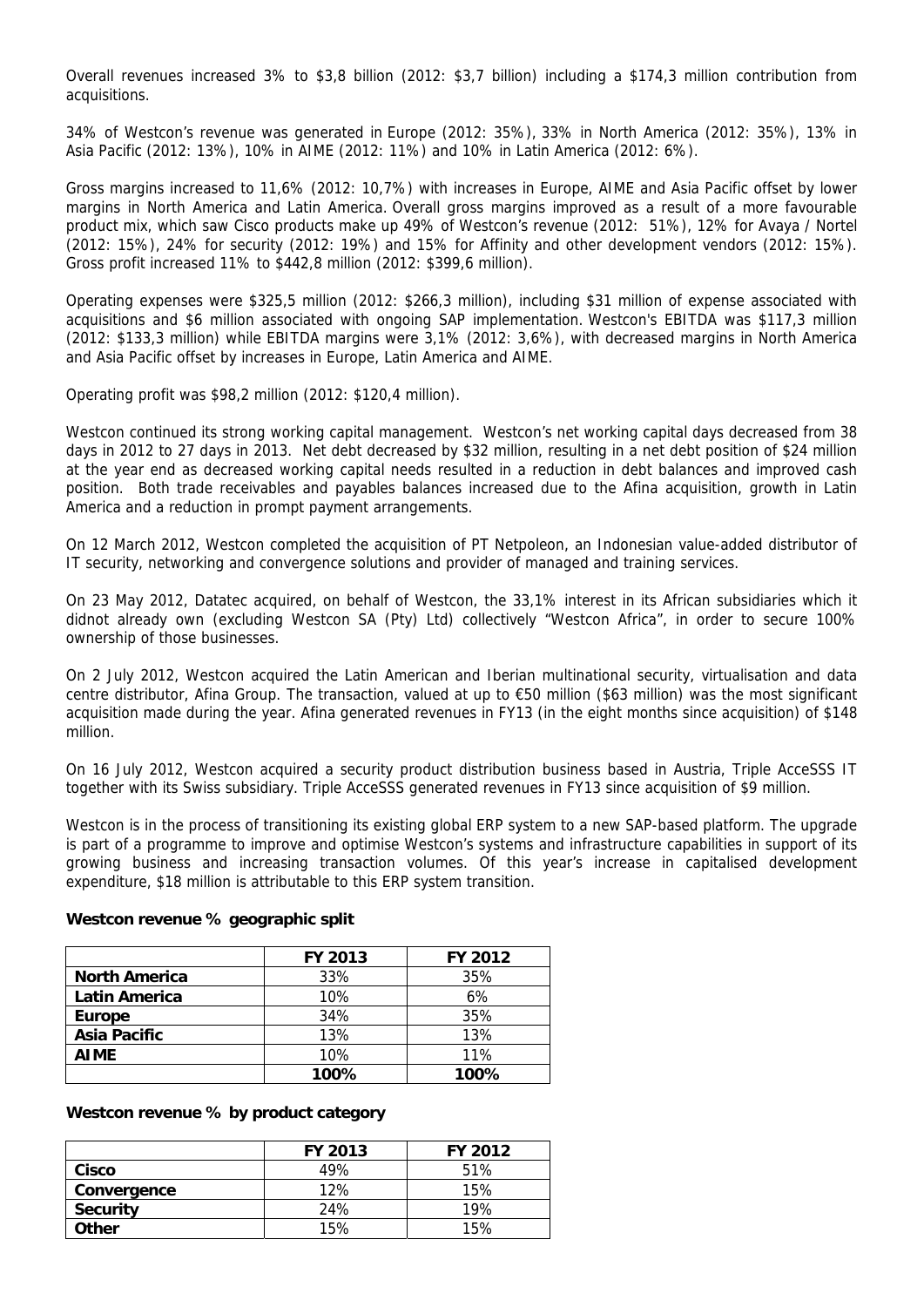Overall revenues increased 3% to \$3,8 billion (2012: \$3,7 billion) including a \$174,3 million contribution from acquisitions.

34% of Westcon's revenue was generated in Europe (2012: 35%), 33% in North America (2012: 35%), 13% in Asia Pacific (2012: 13%), 10% in AIME (2012: 11%) and 10% in Latin America (2012: 6%).

Gross margins increased to 11,6% (2012: 10,7%) with increases in Europe, AIME and Asia Pacific offset by lower margins in North America and Latin America. Overall gross margins improved as a result of a more favourable product mix, which saw Cisco products make up 49% of Westcon's revenue (2012: 51%), 12% for Avaya / Nortel (2012: 15%), 24% for security (2012: 19%) and 15% for Affinity and other development vendors (2012: 15%). Gross profit increased 11% to \$442,8 million (2012: \$399,6 million).

Operating expenses were \$325,5 million (2012: \$266,3 million), including \$31 million of expense associated with acquisitions and \$6 million associated with ongoing SAP implementation. Westcon's EBITDA was \$117,3 million (2012: \$133,3 million) while EBITDA margins were 3,1% (2012: 3,6%), with decreased margins in North America and Asia Pacific offset by increases in Europe, Latin America and AIME.

Operating profit was \$98,2 million (2012: \$120,4 million).

Westcon continued its strong working capital management. Westcon's net working capital days decreased from 38 days in 2012 to 27 days in 2013. Net debt decreased by \$32 million, resulting in a net debt position of \$24 million at the year end as decreased working capital needs resulted in a reduction in debt balances and improved cash position. Both trade receivables and payables balances increased due to the Afina acquisition, growth in Latin America and a reduction in prompt payment arrangements.

On 12 March 2012, Westcon completed the acquisition of PT Netpoleon, an Indonesian value-added distributor of IT security, networking and convergence solutions and provider of managed and training services.

On 23 May 2012, Datatec acquired, on behalf of Westcon, the 33,1% interest in its African subsidiaries which it didnot already own (excluding Westcon SA (Pty) Ltd) collectively "Westcon Africa", in order to secure 100% ownership of those businesses.

On 2 July 2012, Westcon acquired the Latin American and Iberian multinational security, virtualisation and data centre distributor, Afina Group. The transaction, valued at up to €50 million (\$63 million) was the most significant acquisition made during the year. Afina generated revenues in FY13 (in the eight months since acquisition) of \$148 million.

On 16 July 2012, Westcon acquired a security product distribution business based in Austria, Triple AcceSSS IT together with its Swiss subsidiary. Triple AcceSSS generated revenues in FY13 since acquisition of \$9 million.

Westcon is in the process of transitioning its existing global ERP system to a new SAP-based platform. The upgrade is part of a programme to improve and optimise Westcon's systems and infrastructure capabilities in support of its growing business and increasing transaction volumes. Of this year's increase in capitalised development expenditure, \$18 million is attributable to this ERP system transition.

|                      | FY 2013 | FY 2012 |
|----------------------|---------|---------|
| <b>North America</b> | 33%     | 35%     |
| <b>Latin America</b> | 10%     | 6%      |
| <b>Europe</b>        | 34%     | 35%     |
| <b>Asia Pacific</b>  | 13%     | 13%     |
| <b>AIME</b>          | 10%     | 11%     |
|                      | 100%    | 100%    |

#### **Westcon revenue % geographic split**

#### **Westcon revenue % by product category**

|                 | <b>FY 2013</b> | FY 2012 |
|-----------------|----------------|---------|
| Cisco           | 49%            | 51%     |
| Convergence     | 12%            | 15%     |
| <b>Security</b> | 24%            | 19%     |
| <b>Other</b>    | 15%            | 15%     |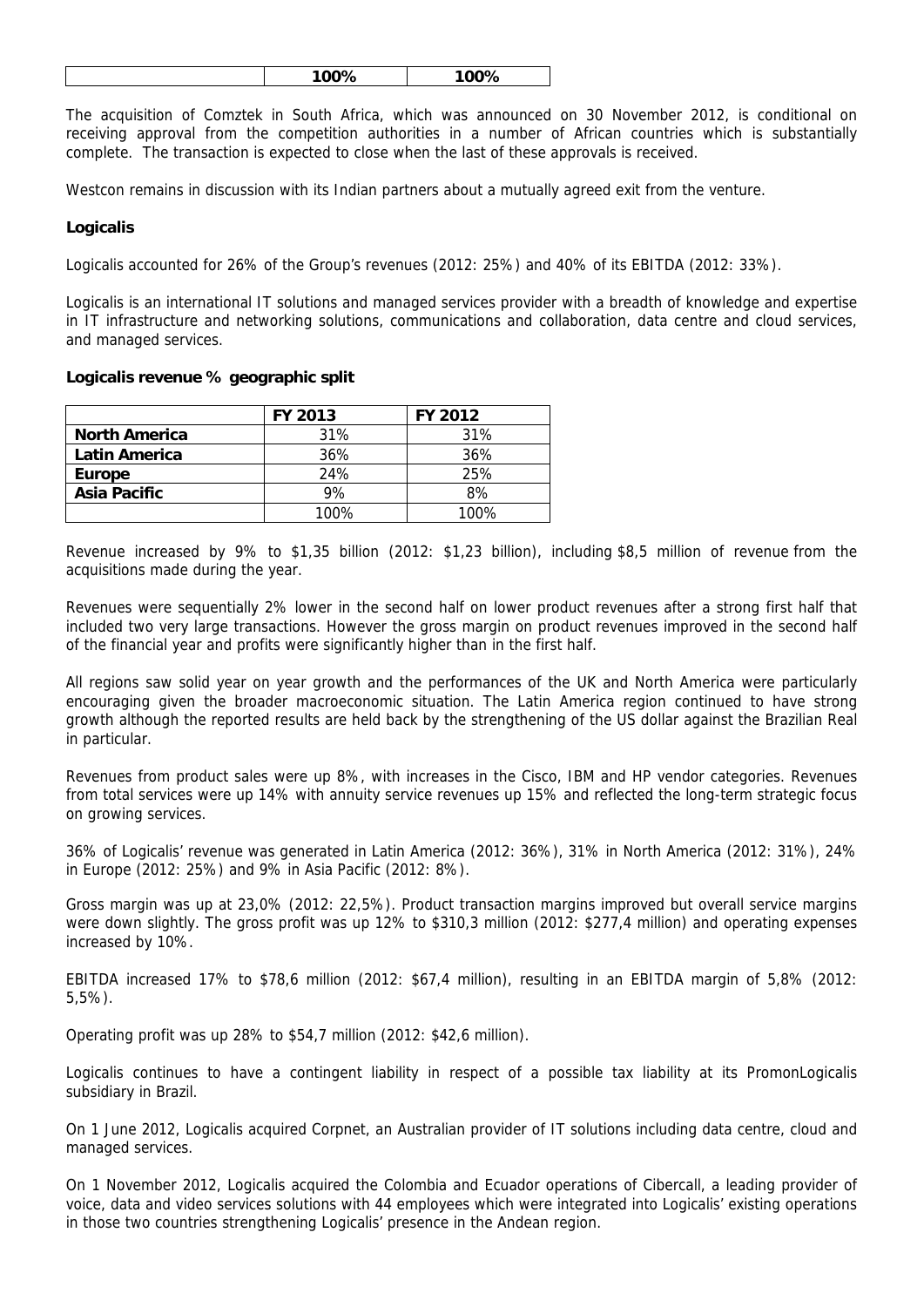|--|

The acquisition of Comztek in South Africa, which was announced on 30 November 2012, is conditional on receiving approval from the competition authorities in a number of African countries which is substantially complete. The transaction is expected to close when the last of these approvals is received.

Westcon remains in discussion with its Indian partners about a mutually agreed exit from the venture.

## **Logicalis**

Logicalis accounted for 26% of the Group's revenues (2012: 25%) and 40% of its EBITDA (2012: 33%).

Logicalis is an international IT solutions and managed services provider with a breadth of knowledge and expertise in IT infrastructure and networking solutions, communications and collaboration, data centre and cloud services, and managed services.

#### **Logicalis revenue % geographic split**

|                      | <b>FY 2013</b> | FY 2012 |
|----------------------|----------------|---------|
| <b>North America</b> | 31%            | 31%     |
| Latin America        | 36%            | 36%     |
| <b>Europe</b>        | 24%            | 25%     |
| Asia Pacific         | 9%             | 8%      |
|                      | $100\%$        | 100%    |

Revenue increased by 9% to \$1,35 billion (2012: \$1,23 billion), including \$8,5 million of revenue from the acquisitions made during the year.

Revenues were sequentially 2% lower in the second half on lower product revenues after a strong first half that included two very large transactions. However the gross margin on product revenues improved in the second half of the financial year and profits were significantly higher than in the first half.

All regions saw solid year on year growth and the performances of the UK and North America were particularly encouraging given the broader macroeconomic situation. The Latin America region continued to have strong growth although the reported results are held back by the strengthening of the US dollar against the Brazilian Real in particular.

Revenues from product sales were up 8%, with increases in the Cisco, IBM and HP vendor categories. Revenues from total services were up 14% with annuity service revenues up 15% and reflected the long-term strategic focus on growing services.

36% of Logicalis' revenue was generated in Latin America (2012: 36%), 31% in North America (2012: 31%), 24% in Europe (2012: 25%) and 9% in Asia Pacific (2012: 8%).

Gross margin was up at 23,0% (2012: 22,5%). Product transaction margins improved but overall service margins were down slightly. The gross profit was up 12% to \$310,3 million (2012: \$277,4 million) and operating expenses increased by 10%.

EBITDA increased 17% to \$78,6 million (2012: \$67,4 million), resulting in an EBITDA margin of 5,8% (2012: 5,5%).

Operating profit was up 28% to \$54,7 million (2012: \$42,6 million).

Logicalis continues to have a contingent liability in respect of a possible tax liability at its PromonLogicalis subsidiary in Brazil.

On 1 June 2012, Logicalis acquired Corpnet, an Australian provider of IT solutions including data centre, cloud and managed services.

On 1 November 2012, Logicalis acquired the Colombia and Ecuador operations of Cibercall, a leading provider of voice, data and video services solutions with 44 employees which were integrated into Logicalis' existing operations in those two countries strengthening Logicalis' presence in the Andean region.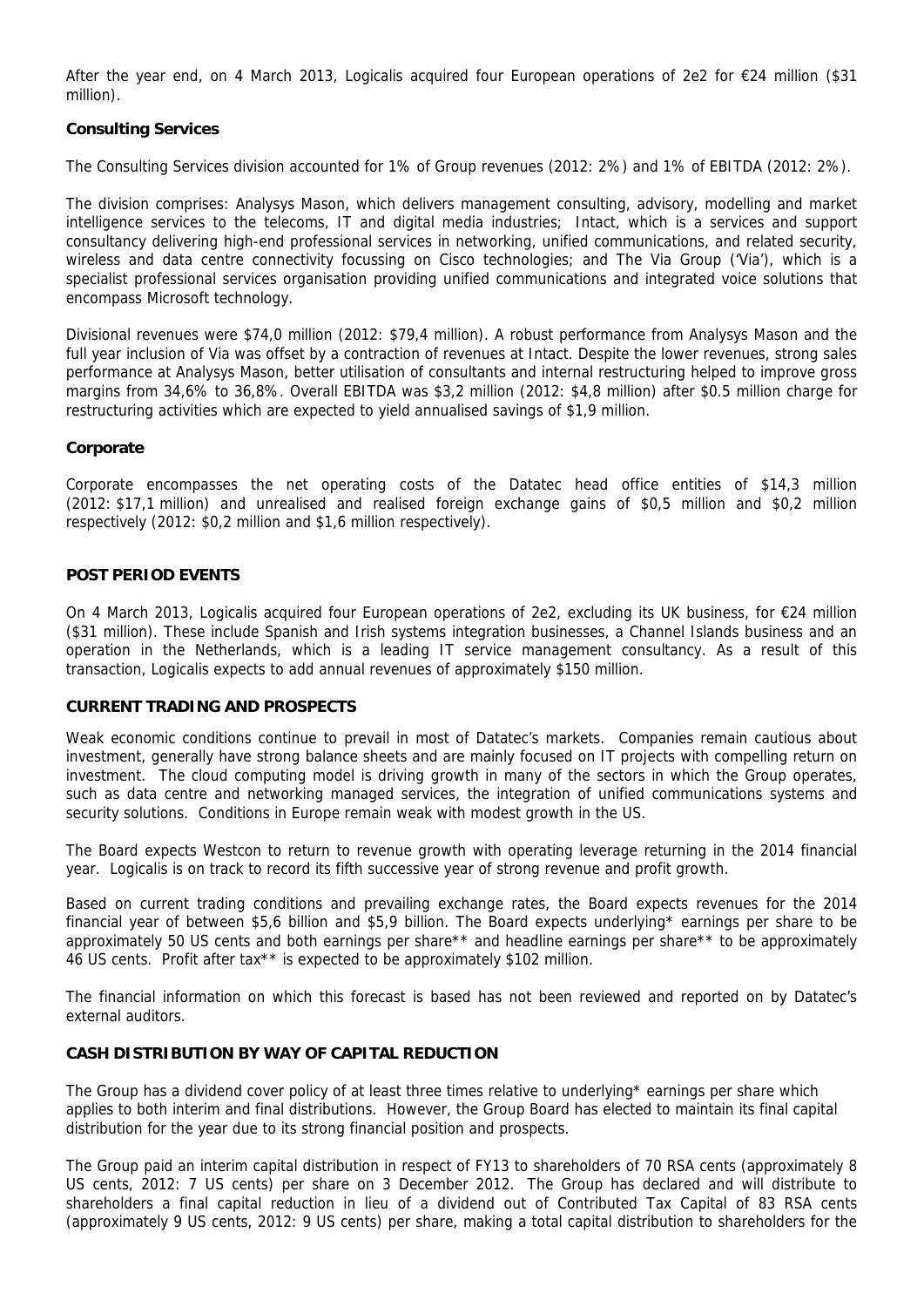After the year end, on 4 March 2013, Logicalis acquired four European operations of 2e2 for €24 million (\$31 million).

## **Consulting Services**

The Consulting Services division accounted for 1% of Group revenues (2012: 2%) and 1% of EBITDA (2012: 2%).

The division comprises: Analysys Mason, which delivers management consulting, advisory, modelling and market intelligence services to the telecoms, IT and digital media industries; Intact, which is a services and support consultancy delivering high-end professional services in networking, unified communications, and related security, wireless and data centre connectivity focussing on Cisco technologies; and The Via Group ('Via'), which is a specialist professional services organisation providing unified communications and integrated voice solutions that encompass Microsoft technology.

Divisional revenues were \$74,0 million (2012: \$79,4 million). A robust performance from Analysys Mason and the full year inclusion of Via was offset by a contraction of revenues at Intact. Despite the lower revenues, strong sales performance at Analysys Mason, better utilisation of consultants and internal restructuring helped to improve gross margins from 34,6% to 36,8%. Overall EBITDA was \$3,2 million (2012: \$4,8 million) after \$0.5 million charge for restructuring activities which are expected to yield annualised savings of \$1,9 million.

## **Corporate**

Corporate encompasses the net operating costs of the Datatec head office entities of \$14,3 million (2012: \$17,1 million) and unrealised and realised foreign exchange gains of \$0,5 million and \$0,2 million respectively (2012: \$0,2 million and \$1,6 million respectively).

## **POST PERIOD EVENTS**

On 4 March 2013, Logicalis acquired four European operations of 2e2, excluding its UK business, for €24 million (\$31 million). These include Spanish and Irish systems integration businesses, a Channel Islands business and an operation in the Netherlands, which is a leading IT service management consultancy. As a result of this transaction, Logicalis expects to add annual revenues of approximately \$150 million.

## **CURRENT TRADING AND PROSPECTS**

Weak economic conditions continue to prevail in most of Datatec's markets. Companies remain cautious about investment, generally have strong balance sheets and are mainly focused on IT projects with compelling return on investment. The cloud computing model is driving growth in many of the sectors in which the Group operates, such as data centre and networking managed services, the integration of unified communications systems and security solutions. Conditions in Europe remain weak with modest growth in the US.

The Board expects Westcon to return to revenue growth with operating leverage returning in the 2014 financial year. Logicalis is on track to record its fifth successive year of strong revenue and profit growth.

Based on current trading conditions and prevailing exchange rates, the Board expects revenues for the 2014 financial year of between \$5,6 billion and \$5,9 billion. The Board expects underlying\* earnings per share to be approximately 50 US cents and both earnings per share\*\* and headline earnings per share\*\* to be approximately 46 US cents. Profit after tax\*\* is expected to be approximately \$102 million.

The financial information on which this forecast is based has not been reviewed and reported on by Datatec's external auditors.

## **CASH DISTRIBUTION BY WAY OF CAPITAL REDUCTION**

The Group has a dividend cover policy of at least three times relative to underlying\* earnings per share which applies to both interim and final distributions. However, the Group Board has elected to maintain its final capital distribution for the year due to its strong financial position and prospects.

The Group paid an interim capital distribution in respect of FY13 to shareholders of 70 RSA cents (approximately 8 US cents, 2012: 7 US cents) per share on 3 December 2012. The Group has declared and will distribute to shareholders a final capital reduction in lieu of a dividend out of Contributed Tax Capital of 83 RSA cents (approximately 9 US cents, 2012: 9 US cents) per share, making a total capital distribution to shareholders for the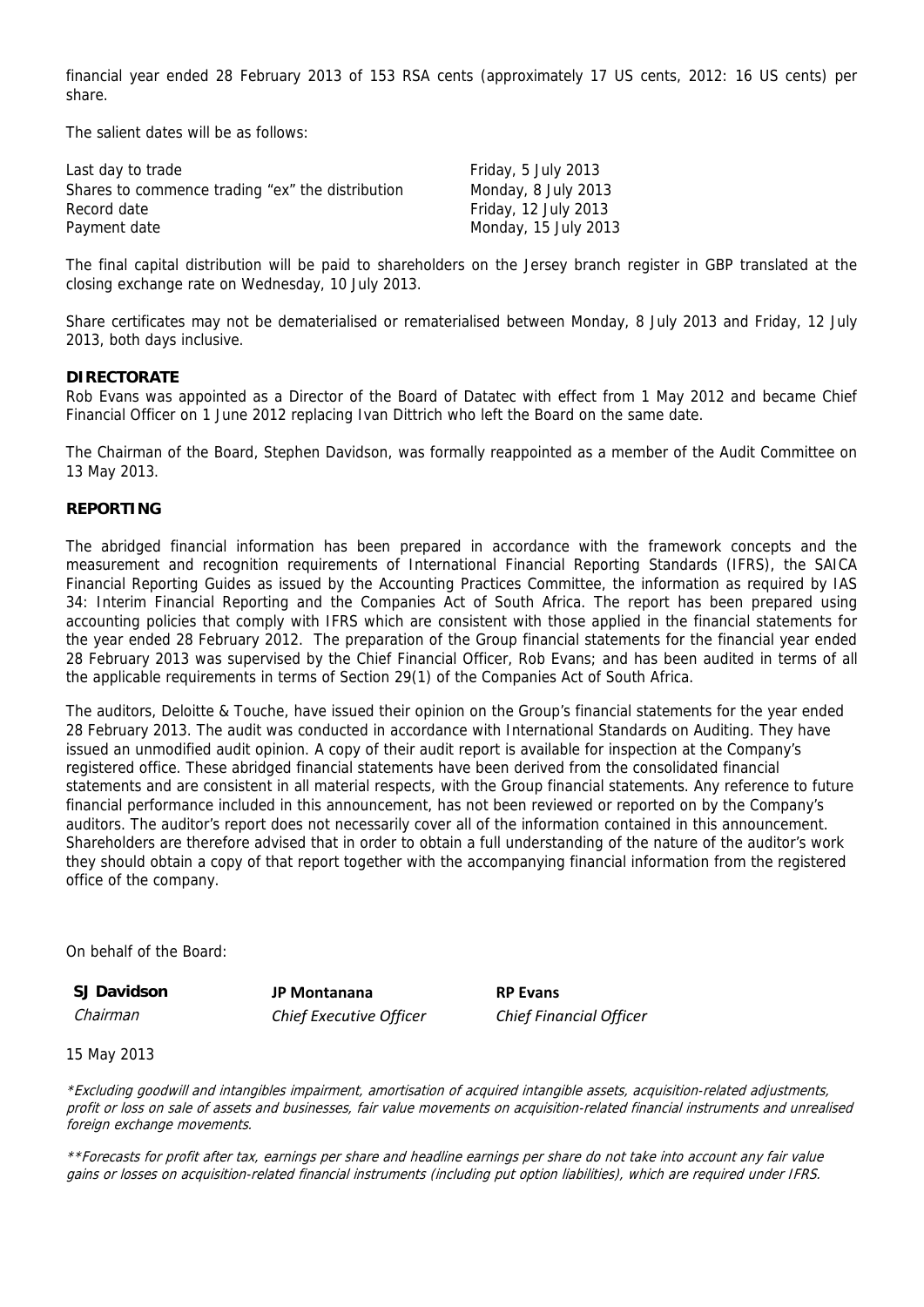financial year ended 28 February 2013 of 153 RSA cents (approximately 17 US cents, 2012: 16 US cents) per share.

The salient dates will be as follows:

| Last day to trade                                | Friday, 5 July 2013  |
|--------------------------------------------------|----------------------|
| Shares to commence trading "ex" the distribution | Monday, 8 July 2013  |
| Record date                                      | Friday, 12 July 2013 |
| Payment date                                     | Monday, 15 July 2013 |

The final capital distribution will be paid to shareholders on the Jersey branch register in GBP translated at the closing exchange rate on Wednesday, 10 July 2013.

Share certificates may not be dematerialised or rematerialised between Monday, 8 July 2013 and Friday, 12 July 2013, both days inclusive.

#### **DIRECTORATE**

Rob Evans was appointed as a Director of the Board of Datatec with effect from 1 May 2012 and became Chief Financial Officer on 1 June 2012 replacing Ivan Dittrich who left the Board on the same date.

The Chairman of the Board, Stephen Davidson, was formally reappointed as a member of the Audit Committee on 13 May 2013.

#### **REPORTING**

The abridged financial information has been prepared in accordance with the framework concepts and the measurement and recognition requirements of International Financial Reporting Standards (IFRS), the SAICA Financial Reporting Guides as issued by the Accounting Practices Committee, the information as required by IAS 34: Interim Financial Reporting and the Companies Act of South Africa. The report has been prepared using accounting policies that comply with IFRS which are consistent with those applied in the financial statements for the year ended 28 February 2012. The preparation of the Group financial statements for the financial year ended 28 February 2013 was supervised by the Chief Financial Officer, Rob Evans; and has been audited in terms of all the applicable requirements in terms of Section 29(1) of the Companies Act of South Africa.

The auditors, Deloitte & Touche, have issued their opinion on the Group's financial statements for the year ended 28 February 2013. The audit was conducted in accordance with International Standards on Auditing. They have issued an unmodified audit opinion. A copy of their audit report is available for inspection at the Company's registered office. These abridged financial statements have been derived from the consolidated financial statements and are consistent in all material respects, with the Group financial statements. Any reference to future financial performance included in this announcement, has not been reviewed or reported on by the Company's auditors. The auditor's report does not necessarily cover all of the information contained in this announcement. Shareholders are therefore advised that in order to obtain a full understanding of the nature of the auditor's work they should obtain a copy of that report together with the accompanying financial information from the registered office of the company.

On behalf of the Board:

**SJ Davidson JP Montanana RP Evans** Chairman *Chief Executive Officer Chief Financial Officer*

15 May 2013

\*Excluding goodwill and intangibles impairment, amortisation of acquired intangible assets, acquisition-related adjustments, profit or loss on sale of assets and businesses, fair value movements on acquisition-related financial instruments and unrealised foreign exchange movements.

\*\*Forecasts for profit after tax, earnings per share and headline earnings per share do not take into account any fair value gains or losses on acquisition-related financial instruments (including put option liabilities), which are required under IFRS.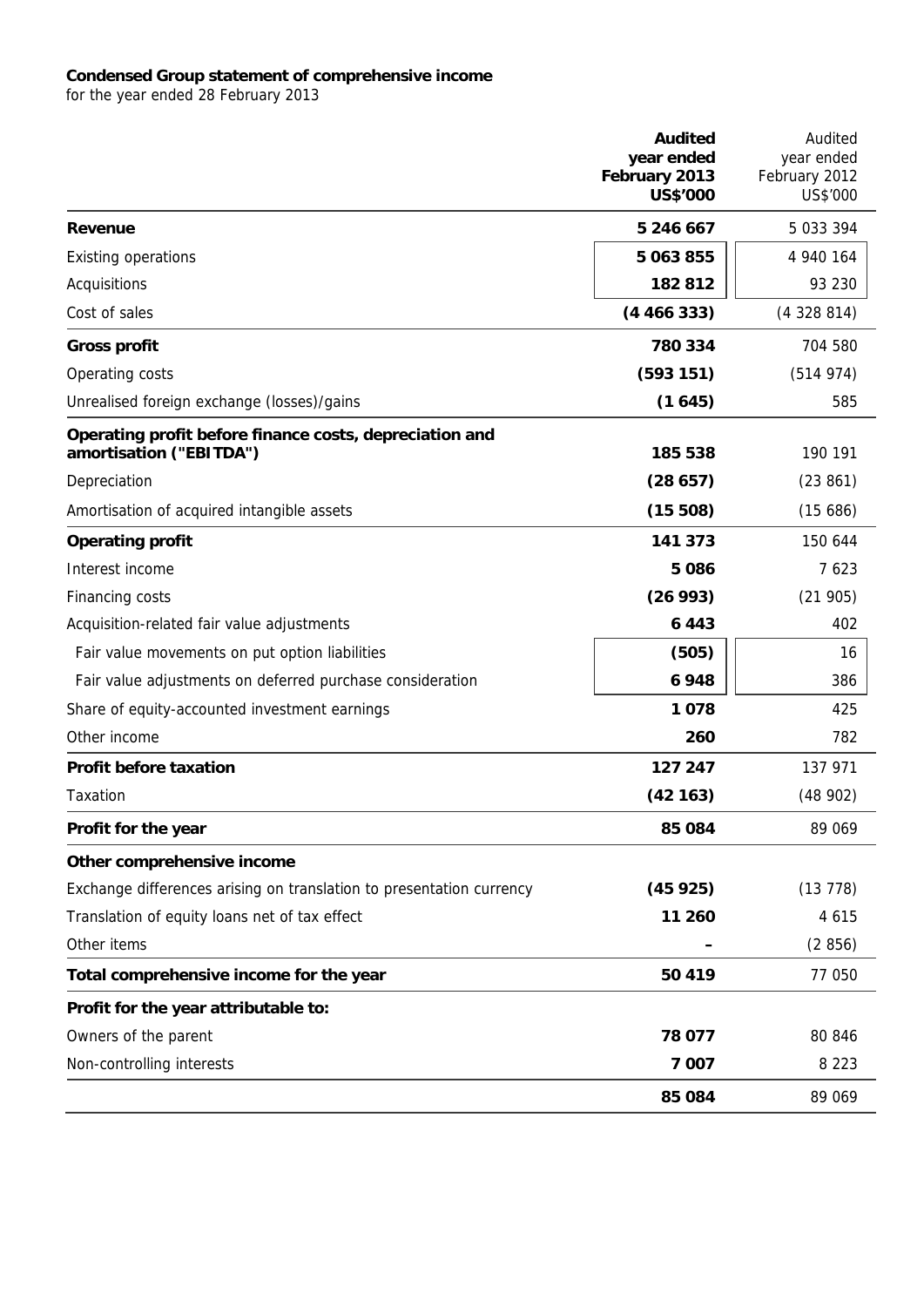#### **Condensed Group statement of comprehensive income**

for the year ended 28 February 2013

|                                                                                    | <b>Audited</b><br>year ended<br>February 2013<br><b>US\$'000</b> | Audited<br>year ended<br>February 2012<br>US\$'000 |
|------------------------------------------------------------------------------------|------------------------------------------------------------------|----------------------------------------------------|
| Revenue                                                                            | 5 246 667                                                        | 5 033 394                                          |
| <b>Existing operations</b>                                                         | 5 063 855                                                        | 4 940 164                                          |
| Acquisitions                                                                       | 182812                                                           | 93 230                                             |
| Cost of sales                                                                      | (4466333)                                                        | (4328814)                                          |
| <b>Gross profit</b>                                                                | 780 334                                                          | 704 580                                            |
| Operating costs                                                                    | (593151)                                                         | (514974)                                           |
| Unrealised foreign exchange (losses)/gains                                         | (1645)                                                           | 585                                                |
| Operating profit before finance costs, depreciation and<br>amortisation ("EBITDA") | 185 538                                                          | 190 191                                            |
| Depreciation                                                                       | (28657)                                                          | (23861)                                            |
| Amortisation of acquired intangible assets                                         | (15508)                                                          | (15686)                                            |
| <b>Operating profit</b>                                                            | 141 373                                                          | 150 644                                            |
| Interest income                                                                    | 5086                                                             | 7623                                               |
| Financing costs                                                                    | (26993)                                                          | (21905)                                            |
| Acquisition-related fair value adjustments                                         | 6443                                                             | 402                                                |
| Fair value movements on put option liabilities                                     | (505)                                                            | 16                                                 |
| Fair value adjustments on deferred purchase consideration                          | 6948                                                             | 386                                                |
| Share of equity-accounted investment earnings                                      | 1078                                                             | 425                                                |
| Other income                                                                       | 260                                                              | 782                                                |
| <b>Profit before taxation</b>                                                      | 127 247                                                          | 137 971                                            |
| Taxation                                                                           | (42163)                                                          | (48902)                                            |
| Profit for the year                                                                | 85 084                                                           | 89 069                                             |
| Other comprehensive income                                                         |                                                                  |                                                    |
| Exchange differences arising on translation to presentation currency               | (45925)                                                          | (13778)                                            |
| Translation of equity loans net of tax effect                                      | 11 260                                                           | 4 6 1 5                                            |
| Other items                                                                        |                                                                  | (2856)                                             |
| Total comprehensive income for the year                                            | 50 419                                                           | 77 050                                             |
| Profit for the year attributable to:                                               |                                                                  |                                                    |
| Owners of the parent                                                               | 78 077                                                           | 80 846                                             |
| Non-controlling interests                                                          | 7 0 0 7                                                          | 8 2 2 3                                            |
|                                                                                    | 85 084                                                           | 89 069                                             |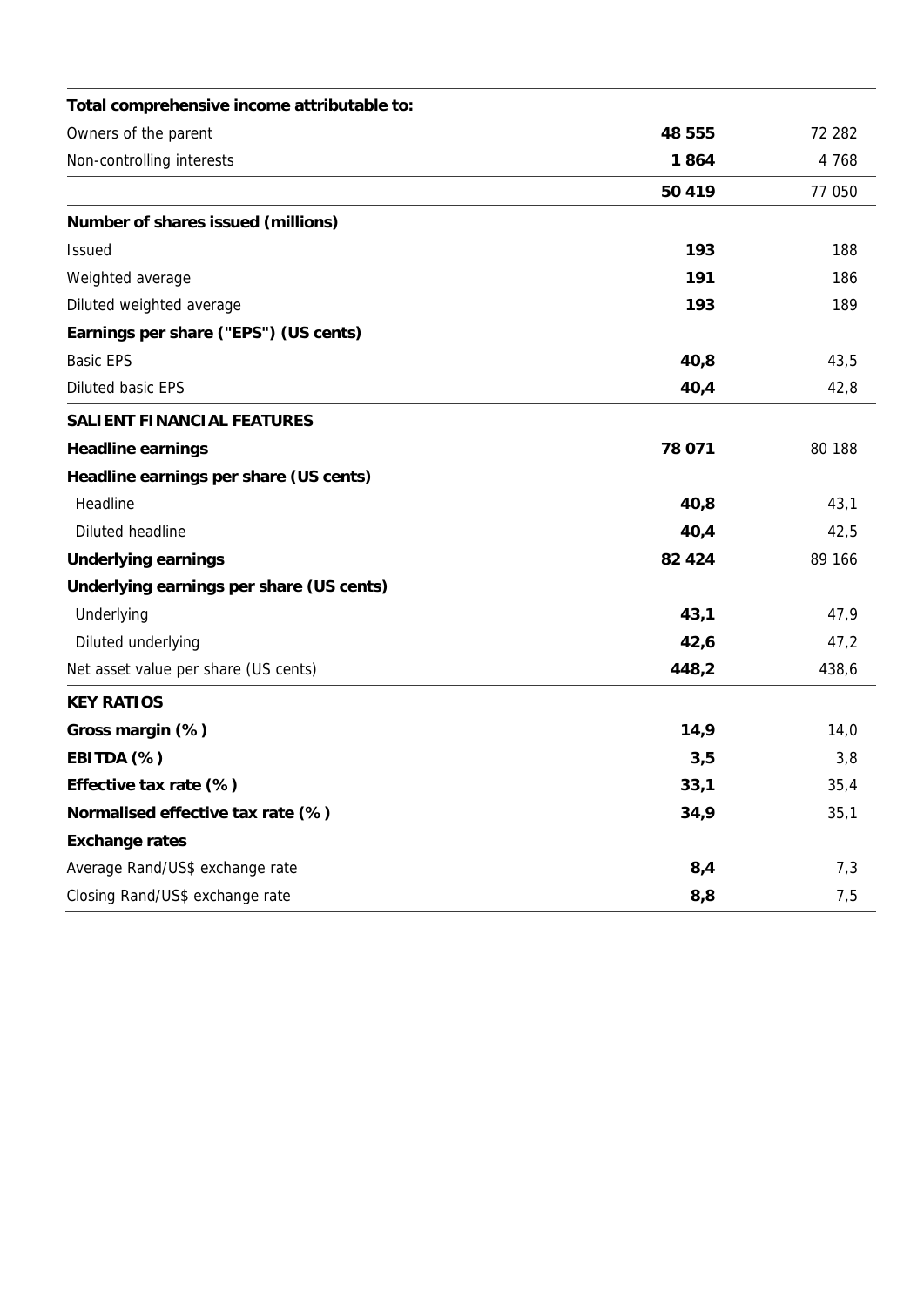| Total comprehensive income attributable to: |         |                   |
|---------------------------------------------|---------|-------------------|
| Owners of the parent                        | 48 555  | 72 282<br>4 7 6 8 |
| Non-controlling interests                   | 1864    |                   |
|                                             | 50 419  | 77 050            |
| Number of shares issued (millions)          |         |                   |
| <b>Issued</b>                               | 193     | 188               |
| Weighted average                            | 191     | 186               |
| Diluted weighted average                    | 193     | 189               |
| Earnings per share ("EPS") (US cents)       |         |                   |
| <b>Basic EPS</b>                            | 40,8    | 43,5              |
| Diluted basic EPS                           | 40,4    | 42,8              |
| <b>SALIENT FINANCIAL FEATURES</b>           |         |                   |
| <b>Headline earnings</b>                    | 78 071  | 80 188            |
| Headline earnings per share (US cents)      |         |                   |
| Headline                                    | 40,8    | 43,1              |
| Diluted headline                            | 40,4    | 42,5              |
| <b>Underlying earnings</b>                  | 82 4 24 | 89 166            |
| Underlying earnings per share (US cents)    |         |                   |
| Underlying                                  | 43,1    | 47,9              |
| Diluted underlying                          | 42,6    | 47,2              |
| Net asset value per share (US cents)        | 448,2   | 438,6             |
| <b>KEY RATIOS</b>                           |         |                   |
| Gross margin (%)                            | 14,9    | 14,0              |
| EBITDA (%)                                  | 3,5     | 3,8               |
| Effective tax rate (%)                      | 33,1    | 35,4              |
| Normalised effective tax rate (%)           | 34,9    | 35,1              |
| <b>Exchange rates</b>                       |         |                   |
| Average Rand/US\$ exchange rate             | 8,4     | 7,3               |
| Closing Rand/US\$ exchange rate             | 8,8     | 7,5               |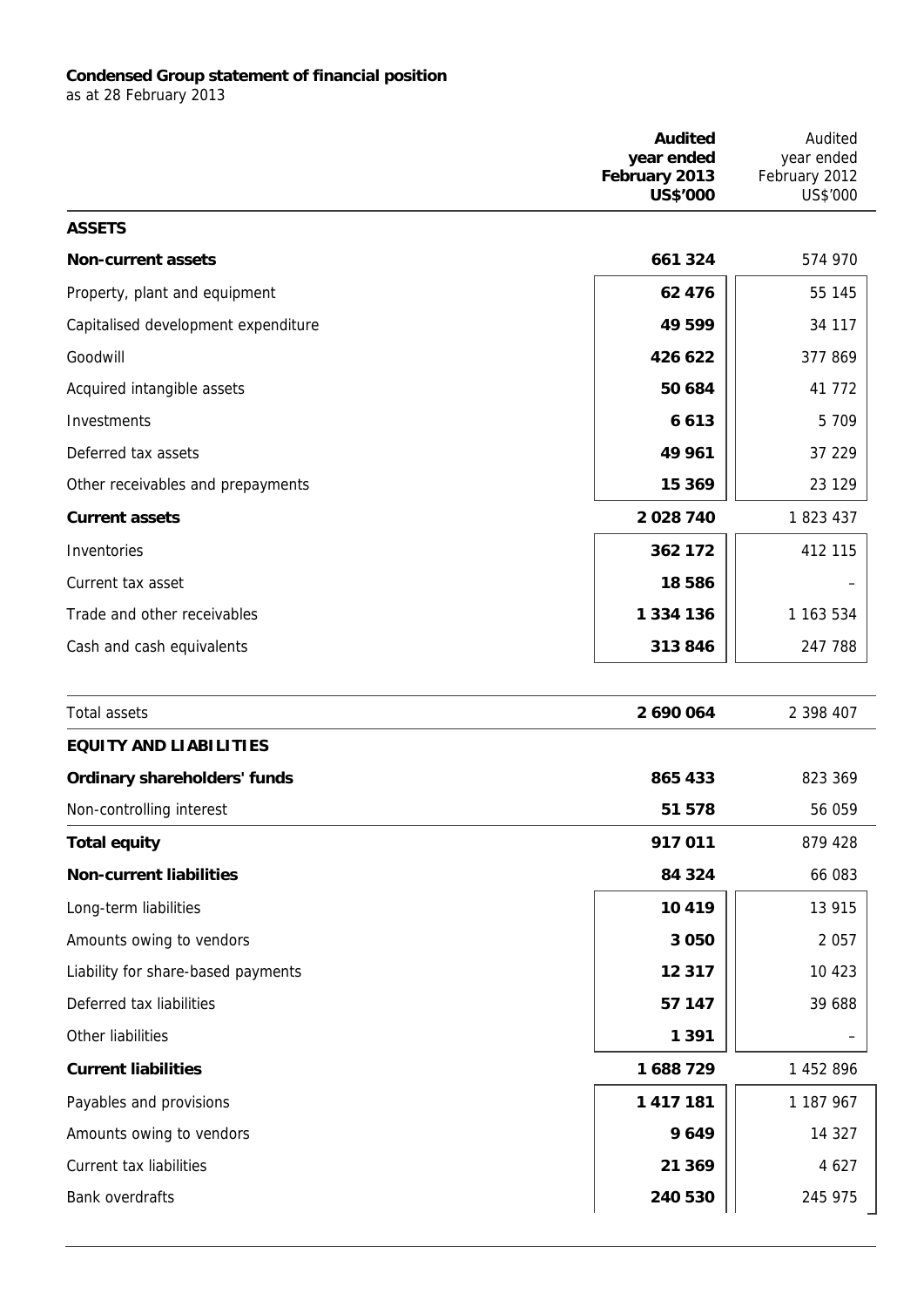## **Condensed Group statement of financial position**

as at 28 February 2013

|                                     | <b>Audited</b><br>year ended<br>February 2013<br><b>US\$'000</b> | Audited<br>year ended<br>February 2012<br>US\$'000 |
|-------------------------------------|------------------------------------------------------------------|----------------------------------------------------|
| <b>ASSETS</b>                       |                                                                  |                                                    |
| <b>Non-current assets</b>           | 661 324                                                          | 574 970                                            |
| Property, plant and equipment       | 62 476                                                           | 55 145                                             |
| Capitalised development expenditure | 49 599                                                           | 34 117                                             |
| Goodwill                            | 426 622                                                          | 377 869                                            |
| Acquired intangible assets          | 50 684                                                           | 41 772                                             |
| Investments                         | 6613                                                             | 5 7 0 9                                            |
| Deferred tax assets                 | 49 961                                                           | 37 229                                             |
| Other receivables and prepayments   | 15 369                                                           | 23 1 29                                            |
| <b>Current assets</b>               | 2028740                                                          | 1823437                                            |
| Inventories                         | 362 172                                                          | 412 115                                            |
| Current tax asset                   | 18586                                                            |                                                    |
| Trade and other receivables         | 1 3 3 4 1 3 6                                                    | 1 163 534                                          |
| Cash and cash equivalents           | 313846                                                           | 247 788                                            |
| <b>Total assets</b>                 | 2 690 064                                                        | 2 398 407                                          |
| <b>EQUITY AND LIABILITIES</b>       |                                                                  |                                                    |
| <b>Ordinary shareholders' funds</b> | 865 433                                                          | 823 369                                            |
| Non-controlling interest            | 51 578                                                           | 56 059                                             |
| <b>Total equity</b>                 | 917 011                                                          | 879 428                                            |
| <b>Non-current liabilities</b>      | 84 324                                                           | 66 083                                             |
| Long-term liabilities               | 10 4 19                                                          | 13 915                                             |
| Amounts owing to vendors            | 3 0 5 0                                                          | 2 0 5 7                                            |
| Liability for share-based payments  | 12 3 17                                                          | 10 423                                             |
| Deferred tax liabilities            | 57 147                                                           | 39 688                                             |
| Other liabilities                   | 1 3 9 1                                                          |                                                    |
| <b>Current liabilities</b>          | 1688729                                                          | 1 452 896                                          |
| Payables and provisions             | 1 417 181                                                        | 1 187 967                                          |
| Amounts owing to vendors            | 9649                                                             | 14 3 27                                            |
| Current tax liabilities             | 21 369                                                           | 4 6 2 7                                            |
| <b>Bank overdrafts</b>              | 240 530                                                          | 245 975                                            |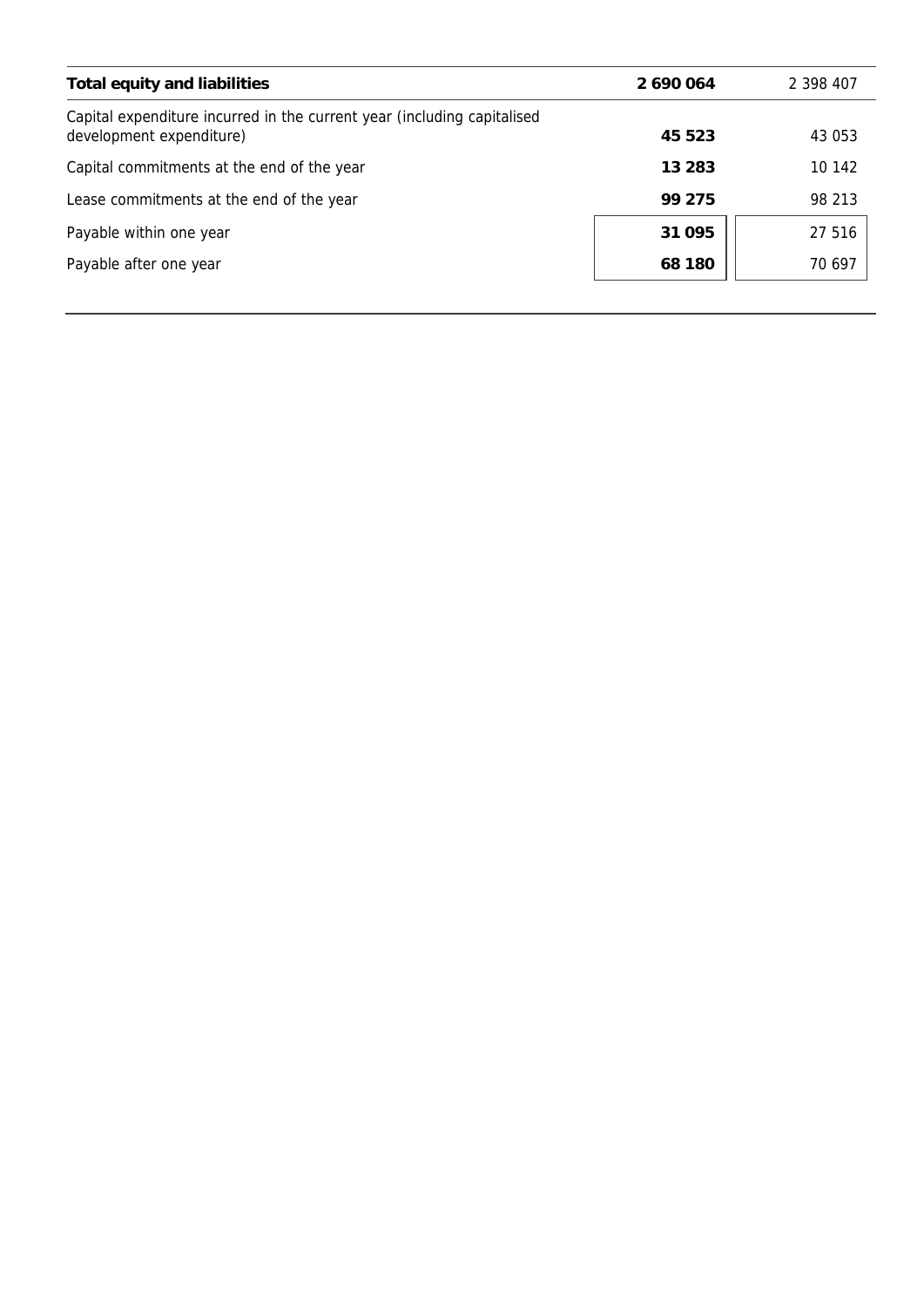| Total equity and liabilities                                                                        | 2 690 064 | 2 398 407 |
|-----------------------------------------------------------------------------------------------------|-----------|-----------|
| Capital expenditure incurred in the current year (including capitalised<br>development expenditure) | 45 523    | 43 053    |
| Capital commitments at the end of the year                                                          | 13 283    | 10 142    |
| Lease commitments at the end of the year                                                            | 99 275    | 98 213    |
| Payable within one year                                                                             | 31 095    | 27 516    |
| Payable after one year                                                                              | 68 180    | 70 697    |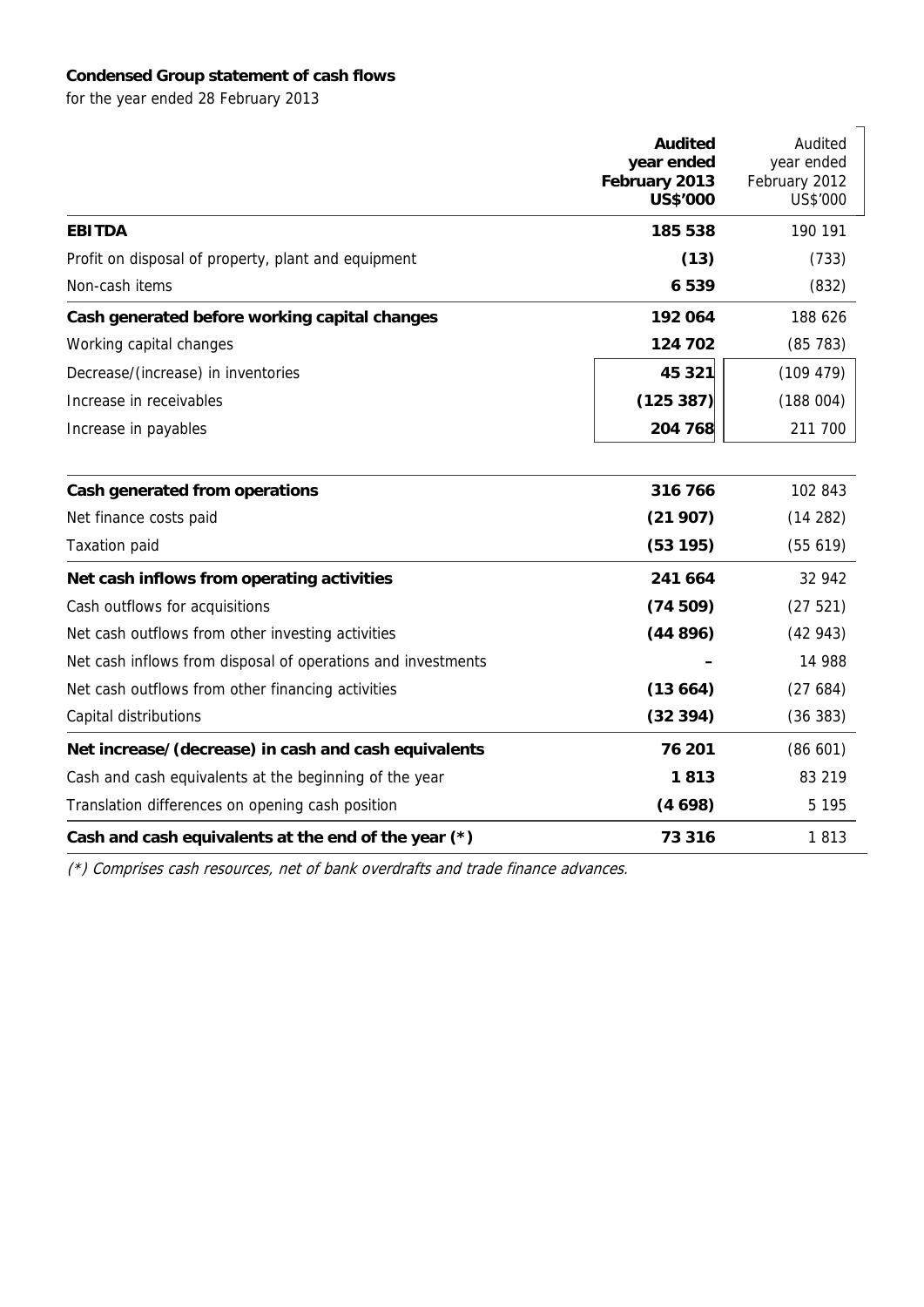## **Condensed Group statement of cash flows**

for the year ended 28 February 2013

|                                                              | <b>Audited</b><br>year ended<br>February 2013<br><b>US\$'000</b> | Audited<br>year ended<br>February 2012<br>US\$'000 |
|--------------------------------------------------------------|------------------------------------------------------------------|----------------------------------------------------|
| <b>EBITDA</b>                                                | 185 538                                                          | 190 191                                            |
| Profit on disposal of property, plant and equipment          | (13)                                                             | (733)                                              |
| Non-cash items                                               | 6539                                                             | (832)                                              |
| Cash generated before working capital changes                | 192 064                                                          | 188 626                                            |
| Working capital changes                                      | 124 702                                                          | (85783)                                            |
| Decrease/(increase) in inventories                           | 45 321                                                           | (109 479)                                          |
| Increase in receivables                                      | (125 387)                                                        | (188004)                                           |
| Increase in payables                                         | 204 768                                                          | 211 700                                            |
| Cash generated from operations                               | 316 766                                                          | 102 843                                            |
| Net finance costs paid                                       | (21907)                                                          | (14 282)                                           |
| <b>Taxation paid</b>                                         | (53195)                                                          | (55619)                                            |
| Net cash inflows from operating activities                   | 241 664                                                          | 32 942                                             |
| Cash outflows for acquisitions                               | (74509)                                                          | (27521)                                            |
| Net cash outflows from other investing activities            | (44896)                                                          | (42943)                                            |
| Net cash inflows from disposal of operations and investments |                                                                  | 14 988                                             |
| Net cash outflows from other financing activities            | (13664)                                                          | (27684)                                            |
| Capital distributions                                        | (32394)                                                          | (36 383)                                           |
| Net increase/(decrease) in cash and cash equivalents         | 76 201                                                           | (86 601)                                           |
| Cash and cash equivalents at the beginning of the year       | 1813                                                             | 83 219                                             |
| Translation differences on opening cash position             | (4698)                                                           | 5 1 9 5                                            |
| Cash and cash equivalents at the end of the year (*)         | 73 316                                                           | 1813                                               |

(\*) Comprises cash resources, net of bank overdrafts and trade finance advances.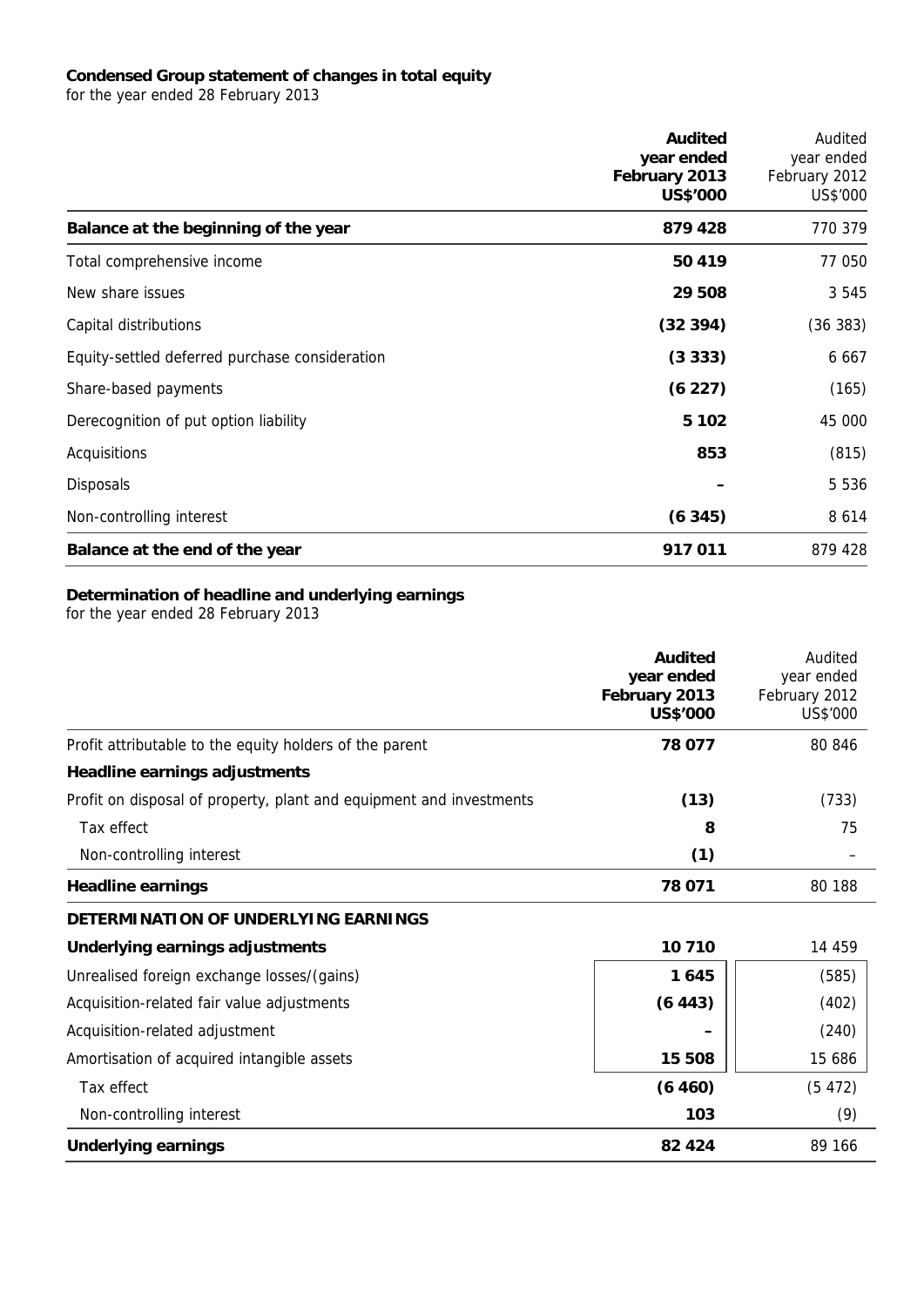## **Condensed Group statement of changes in total equity**

for the year ended 28 February 2013

|                                                | <b>Audited</b><br>year ended<br>February 2013<br>US\$'000 | Audited<br>year ended<br>February 2012<br>US\$'000 |
|------------------------------------------------|-----------------------------------------------------------|----------------------------------------------------|
| Balance at the beginning of the year           | 879 428                                                   | 770 379                                            |
| Total comprehensive income                     | 50 419                                                    | 77 050                                             |
| New share issues                               | 29 508                                                    | 3 5 4 5                                            |
| Capital distributions                          | (32394)                                                   | (36 383)                                           |
| Equity-settled deferred purchase consideration | (3333)                                                    | 6 6 6 7                                            |
| Share-based payments                           | (6 227)                                                   | (165)                                              |
| Derecognition of put option liability          | 5 1 0 2                                                   | 45 000                                             |
| Acquisitions                                   | 853                                                       | (815)                                              |
| <b>Disposals</b>                               |                                                           | 5 5 3 6                                            |
| Non-controlling interest                       | (6345)                                                    | 8 6 1 4                                            |
| Balance at the end of the year                 | 917 011                                                   | 879 428                                            |

## **Determination of headline and underlying earnings**

for the year ended 28 February 2013

|                                                                     | <b>Audited</b><br>year ended<br>February 2013<br><b>US\$'000</b> | Audited<br>year ended<br>February 2012<br>US\$'000 |
|---------------------------------------------------------------------|------------------------------------------------------------------|----------------------------------------------------|
| Profit attributable to the equity holders of the parent             | 78 077                                                           | 80 846                                             |
| Headline earnings adjustments                                       |                                                                  |                                                    |
| Profit on disposal of property, plant and equipment and investments | (13)                                                             | (733)                                              |
| Tax effect                                                          | 8                                                                | 75                                                 |
| Non-controlling interest                                            | (1)                                                              |                                                    |
| <b>Headline earnings</b>                                            | 78 071                                                           | 80 188                                             |
| DETERMINATION OF UNDERLYING EARNINGS                                |                                                                  |                                                    |
| Underlying earnings adjustments                                     | 10710                                                            | 14 459                                             |
| Unrealised foreign exchange losses/(gains)                          | 1645                                                             | (585)                                              |
| Acquisition-related fair value adjustments                          | (6443)                                                           | (402)                                              |
| Acquisition-related adjustment                                      |                                                                  | (240)                                              |
| Amortisation of acquired intangible assets                          | 15 508                                                           | 15 686                                             |
| Tax effect                                                          | (6460)                                                           | (5472)                                             |
| Non-controlling interest                                            | 103                                                              | (9)                                                |
| <b>Underlying earnings</b>                                          | 82 4 24                                                          | 89 166                                             |